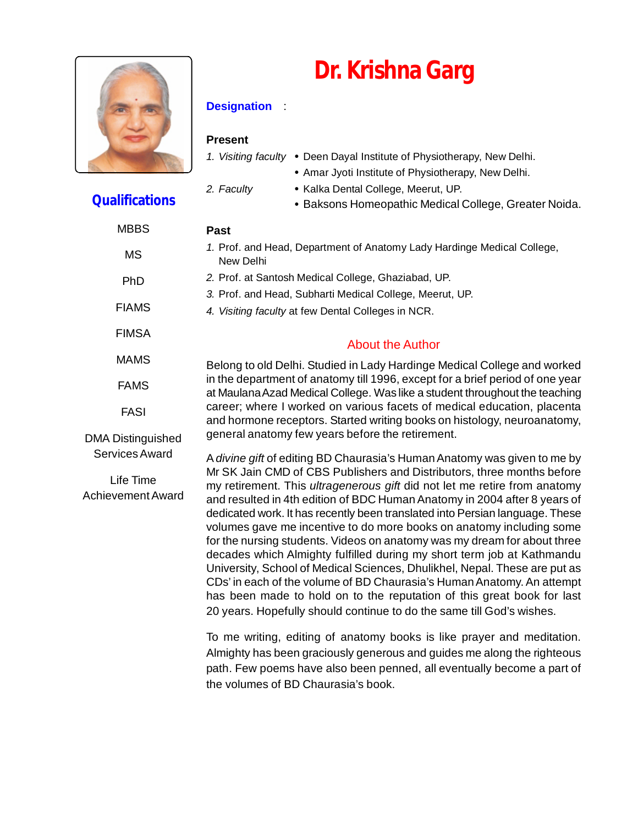



#### **Designation** :

#### **Present**

*1. Visiting faculty* **•** Deen Dayal Institute of Physiotherapy, New Delhi.

- **•** Amar Jyoti Institute of Physiotherapy, New Delhi.
- 
- *2. Faculty* **•** Kalka Dental College, Meerut, UP.
	- **•** Baksons Homeopathic Medical College, Greater Noida.

| <b>MBBS</b>                           | Past                                                                                                                                                                                                                                                                                                                                                                                                                                                                                                                                                                                                                                                                                                                                                                                                                                                             |  |  |  |  |
|---------------------------------------|------------------------------------------------------------------------------------------------------------------------------------------------------------------------------------------------------------------------------------------------------------------------------------------------------------------------------------------------------------------------------------------------------------------------------------------------------------------------------------------------------------------------------------------------------------------------------------------------------------------------------------------------------------------------------------------------------------------------------------------------------------------------------------------------------------------------------------------------------------------|--|--|--|--|
| <b>MS</b>                             | 1. Prof. and Head, Department of Anatomy Lady Hardinge Medical College,<br>New Delhi                                                                                                                                                                                                                                                                                                                                                                                                                                                                                                                                                                                                                                                                                                                                                                             |  |  |  |  |
| PhD                                   | 2. Prof. at Santosh Medical College, Ghaziabad, UP.                                                                                                                                                                                                                                                                                                                                                                                                                                                                                                                                                                                                                                                                                                                                                                                                              |  |  |  |  |
|                                       | 3. Prof. and Head, Subharti Medical College, Meerut, UP.                                                                                                                                                                                                                                                                                                                                                                                                                                                                                                                                                                                                                                                                                                                                                                                                         |  |  |  |  |
| <b>FIAMS</b>                          | 4. Visiting faculty at few Dental Colleges in NCR.                                                                                                                                                                                                                                                                                                                                                                                                                                                                                                                                                                                                                                                                                                                                                                                                               |  |  |  |  |
| <b>FIMSA</b>                          | <b>About the Author</b>                                                                                                                                                                                                                                                                                                                                                                                                                                                                                                                                                                                                                                                                                                                                                                                                                                          |  |  |  |  |
| <b>MAMS</b>                           | Belong to old Delhi. Studied in Lady Hardinge Medical College and worked                                                                                                                                                                                                                                                                                                                                                                                                                                                                                                                                                                                                                                                                                                                                                                                         |  |  |  |  |
| <b>FAMS</b>                           | in the department of anatomy till 1996, except for a brief period of one year<br>at Maulana Azad Medical College. Was like a student throughout the teaching                                                                                                                                                                                                                                                                                                                                                                                                                                                                                                                                                                                                                                                                                                     |  |  |  |  |
| <b>FASI</b>                           | career; where I worked on various facets of medical education, placenta<br>and hormone receptors. Started writing books on histology, neuroanatomy,                                                                                                                                                                                                                                                                                                                                                                                                                                                                                                                                                                                                                                                                                                              |  |  |  |  |
| <b>DMA Distinguished</b>              | general anatomy few years before the retirement.                                                                                                                                                                                                                                                                                                                                                                                                                                                                                                                                                                                                                                                                                                                                                                                                                 |  |  |  |  |
| Services Award                        | A divine gift of editing BD Chaurasia's Human Anatomy was given to me by                                                                                                                                                                                                                                                                                                                                                                                                                                                                                                                                                                                                                                                                                                                                                                                         |  |  |  |  |
| Life Time<br><b>Achievement Award</b> | Mr SK Jain CMD of CBS Publishers and Distributors, three months before<br>my retirement. This <i>ultragenerous gift</i> did not let me retire from anatomy<br>and resulted in 4th edition of BDC Human Anatomy in 2004 after 8 years of<br>dedicated work. It has recently been translated into Persian language. These<br>volumes gave me incentive to do more books on anatomy including some<br>for the nursing students. Videos on anatomy was my dream for about three<br>decades which Almighty fulfilled during my short term job at Kathmandu<br>University, School of Medical Sciences, Dhulikhel, Nepal. These are put as<br>CDs' in each of the volume of BD Chaurasia's Human Anatomy. An attempt<br>has been made to hold on to the reputation of this great book for last<br>20 years. Hopefully should continue to do the same till God's wishes. |  |  |  |  |
|                                       | To me writing, editing of anatomy books is like prayer and meditation.<br>Almighty has been graciously generous and guides me along the righteous<br>path. Few poems have also been penned, all eventually become a part of<br>the volumes of BD Chaurasia's book.                                                                                                                                                                                                                                                                                                                                                                                                                                                                                                                                                                                               |  |  |  |  |

#### **Qualifications**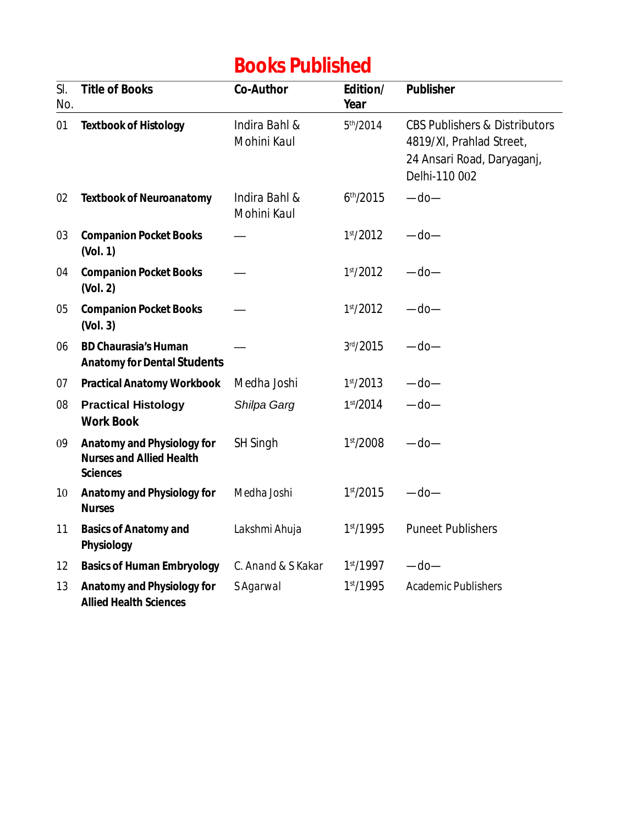### **Books Published**

| SI.<br>No. | <b>Title of Books</b>                                                                   | <b>Co-Author</b>             | Edition/<br>Year      | <b>Publisher</b>                                                                                                    |
|------------|-----------------------------------------------------------------------------------------|------------------------------|-----------------------|---------------------------------------------------------------------------------------------------------------------|
| 01         | <b>Textbook of Histology</b>                                                            | Indira Bahl &<br>Mohini Kaul | 5 <sup>th</sup> /2014 | <b>CBS Publishers &amp; Distributors</b><br>4819/XI, Prahlad Street,<br>24 Ansari Road, Daryaganj,<br>Delhi-110 002 |
| 02         | <b>Textbook of Neuroanatomy</b>                                                         | Indira Bahl &<br>Mohini Kaul | 6 <sup>th</sup> /2015 | $-do-$                                                                                                              |
| 03         | <b>Companion Pocket Books</b><br>(Vol. 1)                                               |                              | 1 <sup>st</sup> /2012 | $-$ do $-$                                                                                                          |
| 04         | <b>Companion Pocket Books</b><br>(Vol. 2)                                               |                              | 1 <sup>st</sup> /2012 | $-$ do $-$                                                                                                          |
| 05         | <b>Companion Pocket Books</b><br>(Vol. 3)                                               |                              | 1 <sup>st</sup> /2012 | $-$ do $-$                                                                                                          |
| 06         | <b>BD Chaurasia's Human</b><br><b>Anatomy for Dental Students</b>                       |                              | 3rd/2015              | $-$ do $-$                                                                                                          |
| 07         | <b>Practical Anatomy Workbook</b>                                                       | Medha Joshi                  | 1 <sup>st</sup> /2013 | $-$ do $-$                                                                                                          |
| 08         | <b>Practical Histology</b><br><b>Work Book</b>                                          | Shilpa Garg                  | 1st/2014              | $-do-$                                                                                                              |
| 09         | <b>Anatomy and Physiology for</b><br><b>Nurses and Allied Health</b><br><b>Sciences</b> | <b>SH Singh</b>              | 1 <sup>st</sup> /2008 | $-$ do $-$                                                                                                          |
| 10         | <b>Anatomy and Physiology for</b><br><b>Nurses</b>                                      | Medha Joshi                  | 1 <sup>st</sup> /2015 | $-$ do $-$                                                                                                          |
| 11         | <b>Basics of Anatomy and</b><br>Physiology                                              | Lakshmi Ahuja                | 1 <sup>st</sup> /1995 | <b>Puneet Publishers</b>                                                                                            |
| 12         | <b>Basics of Human Embryology</b>                                                       | C. Anand & S Kakar           | 1 <sup>st</sup> /1997 | $-$ do $-$                                                                                                          |
| 13         | <b>Anatomy and Physiology for</b><br><b>Allied Health Sciences</b>                      | <b>SAgarwal</b>              | 1 <sup>st</sup> /1995 | <b>Academic Publishers</b>                                                                                          |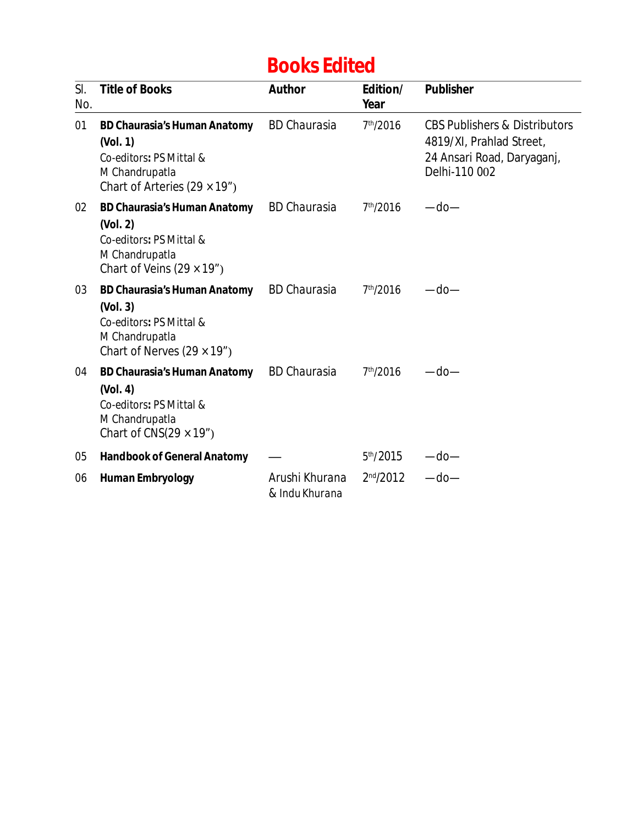## **Books Edited**

| SI.<br>No. | <b>Title of Books</b>                                                                                                                | <b>Author</b>                    | Edition/<br>Year      | <b>Publisher</b>                                                                                                    |
|------------|--------------------------------------------------------------------------------------------------------------------------------------|----------------------------------|-----------------------|---------------------------------------------------------------------------------------------------------------------|
| 01         | <b>BD Chaurasia's Human Anatomy</b><br>(Vol. 1)<br>Co-editors: PS Mittal &<br>M Chandrupatla<br>Chart of Arteries $(29 \times 19'')$ | <b>BD</b> Chaurasia              | 7 <sup>th</sup> /2016 | <b>CBS Publishers &amp; Distributors</b><br>4819/XI, Prahlad Street,<br>24 Ansari Road, Daryaganj,<br>Delhi-110 002 |
| 02         | <b>BD Chaurasia's Human Anatomy</b><br>(Vol. 2)<br>Co-editors: PS Mittal &<br>M Chandrupatla<br>Chart of Veins $(29 \times 19'')$    | <b>BD Chaurasia</b>              | 7 <sup>th</sup> /2016 | $-$ do $-$                                                                                                          |
| 03         | <b>BD Chaurasia's Human Anatomy</b><br>(Vol. 3)<br>Co-editors: PS Mittal &<br>M Chandrupatla<br>Chart of Nerves $(29 \times 19'')$   | <b>BD Chaurasia</b>              | 7 <sup>th</sup> /2016 | —do—                                                                                                                |
| 04         | <b>BD Chaurasia's Human Anatomy</b><br>(Vol. 4)<br>Co-editors: PS Mittal &<br>M Chandrupatla<br>Chart of CNS $(29 \times 19'')$      | <b>BD Chaurasia</b>              | 7 <sup>th</sup> /2016 | —do—                                                                                                                |
| 05         | <b>Handbook of General Anatomy</b>                                                                                                   |                                  | 5 <sup>th</sup> /2015 | —do—                                                                                                                |
| 06         | <b>Human Embryology</b>                                                                                                              | Arushi Khurana<br>& Indu Khurana | 2 <sup>nd</sup> /2012 | $-$ do $-$                                                                                                          |